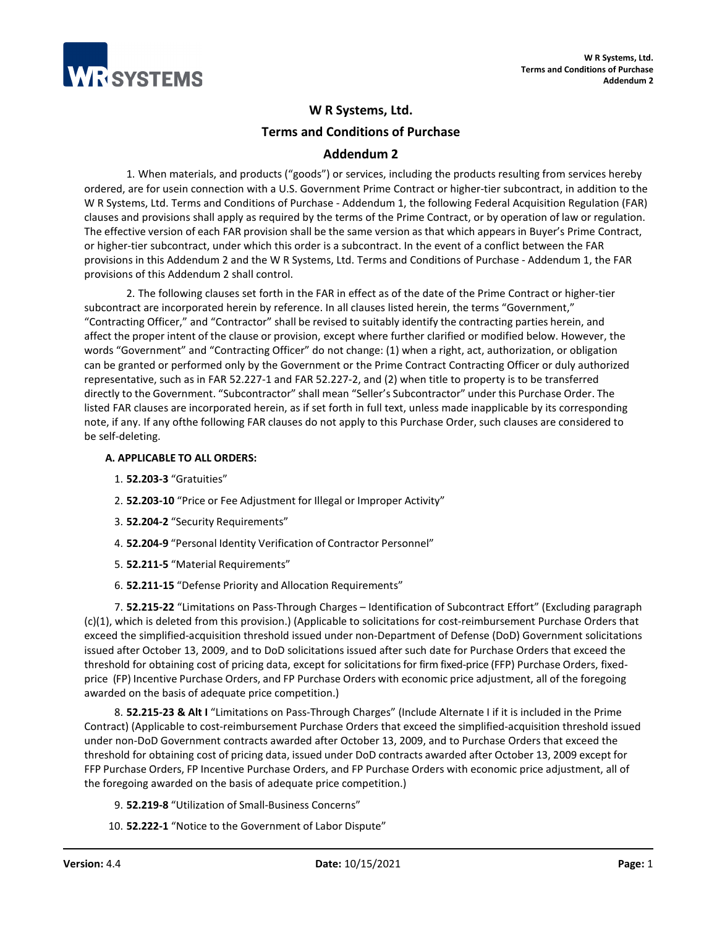

# **W R Systems, Ltd. Terms and Conditions of Purchase**

# **Addendum 2**

1. When materials, and products ("goods") or services, including the products resulting from services hereby ordered, are for usein connection with a U.S. Government Prime Contract or higher-tier subcontract, in addition to the W R Systems, Ltd. Terms and Conditions of Purchase - Addendum 1, the following Federal Acquisition Regulation (FAR) clauses and provisions shall apply as required by the terms of the Prime Contract, or by operation of law or regulation. The effective version of each FAR provision shall be the same version as that which appears in Buyer's Prime Contract, or higher-tier subcontract, under which this order is a subcontract. In the event of a conflict between the FAR provisions in this Addendum 2 and the W R Systems, Ltd. Terms and Conditions of Purchase - Addendum 1, the FAR provisions of this Addendum 2 shall control.

2. The following clauses set forth in the FAR in effect as of the date of the Prime Contract or higher-tier subcontract are incorporated herein by reference. In all clauses listed herein, the terms "Government," "Contracting Officer," and "Contractor" shall be revised to suitably identify the contracting parties herein, and affect the proper intent of the clause or provision, except where further clarified or modified below. However, the words "Government" and "Contracting Officer" do not change: (1) when a right, act, authorization, or obligation can be granted or performed only by the Government or the Prime Contract Contracting Officer or duly authorized representative, such as in FAR 52.227-1 and FAR 52.227-2, and (2) when title to property is to be transferred directly to the Government. "Subcontractor" shall mean "Seller's Subcontractor" under this Purchase Order. The listed FAR clauses are incorporated herein, as if set forth in full text, unless made inapplicable by its corresponding note, if any. If any ofthe following FAR clauses do not apply to this Purchase Order, such clauses are considered to be self-deleting.

# **A. APPLICABLE TO ALL ORDERS:**

- 1. **52.203-3** "Gratuities"
- 2. **52.203-10** "Price or Fee Adjustment for Illegal or Improper Activity"
- 3. **52.204-2** "Security Requirements"
- 4. **52.204-9** "Personal Identity Verification of Contractor Personnel"
- 5. **52.211-5** "Material Requirements"
- 6. **52.211-15** "Defense Priority and Allocation Requirements"

7. **52.215-22** "Limitations on Pass-Through Charges – Identification of Subcontract Effort" (Excluding paragraph (c)(1), which is deleted from this provision.) (Applicable to solicitations for cost-reimbursement Purchase Orders that exceed the simplified-acquisition threshold issued under non-Department of Defense (DoD) Government solicitations issued after October 13, 2009, and to DoD solicitations issued after such date for Purchase Orders that exceed the threshold for obtaining cost of pricing data, except for solicitations for firm fixed-price (FFP) Purchase Orders, fixedprice (FP) Incentive Purchase Orders, and FP Purchase Orders with economic price adjustment, all of the foregoing awarded on the basis of adequate price competition.)

8. **52.215-23 & Alt I** "Limitations on Pass-Through Charges" (Include Alternate I if it is included in the Prime Contract) (Applicable to cost-reimbursement Purchase Orders that exceed the simplified-acquisition threshold issued under non-DoD Government contracts awarded after October 13, 2009, and to Purchase Orders that exceed the threshold for obtaining cost of pricing data, issued under DoD contracts awarded after October 13, 2009 except for FFP Purchase Orders, FP Incentive Purchase Orders, and FP Purchase Orders with economic price adjustment, all of the foregoing awarded on the basis of adequate price competition.)

- 9. **52.219-8** "Utilization of Small-Business Concerns"
- 10. **52.222-1** "Notice to the Government of Labor Dispute"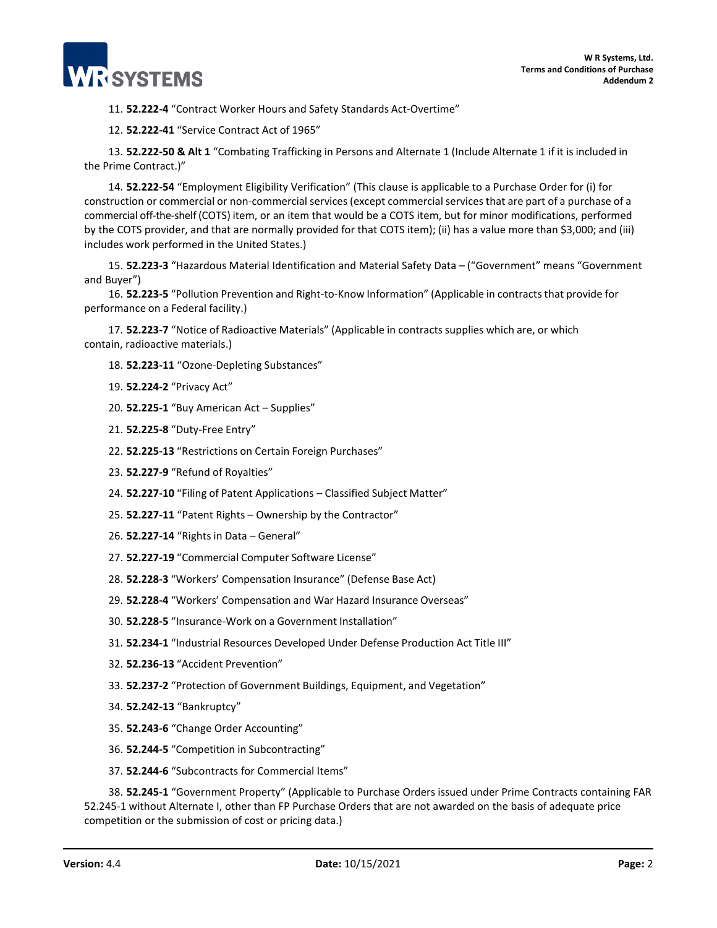

11. **52.222-4** "Contract Worker Hours and Safety Standards Act-Overtime"

12. **52.222-41** "Service Contract Act of 1965"

13. **52.222-50 & Alt 1** "Combating Trafficking in Persons and Alternate 1 (Include Alternate 1 if it is included in the Prime Contract.)"

14. **52.222-54** "Employment Eligibility Verification" (This clause is applicable to a Purchase Order for (i) for construction or commercial or non-commercial services (except commercial services that are part of a purchase of a commercial off-the-shelf (COTS) item, or an item that would be a COTS item, but for minor modifications, performed by the COTS provider, and that are normally provided for that COTS item); (ii) has a value more than \$3,000; and (iii) includes work performed in the United States.)

15. **52.223-3** "Hazardous Material Identification and Material Safety Data – ("Government" means "Government and Buyer")

16. **52.223-5** "Pollution Prevention and Right-to-Know Information" (Applicable in contractsthat provide for performance on a Federal facility.)

17. **52.223-7** "Notice of Radioactive Materials" (Applicable in contracts supplies which are, or which contain, radioactive materials.)

- 18. **52.223-11** "Ozone-Depleting Substances"
- 19. **52.224-2** "Privacy Act"
- 20. **52.225-1** "Buy American Act Supplies"
- 21. **52.225-8** "Duty-Free Entry"
- 22. **52.225-13** "Restrictions on Certain Foreign Purchases"
- 23. **52.227-9** "Refund of Royalties"
- 24. **52.227-10** "Filing of Patent Applications Classified Subject Matter"
- 25. **52.227-11** "Patent Rights Ownership by the Contractor"
- 26. **52.227-14** "Rights in Data General"
- 27. **52.227-19** "Commercial Computer Software License"
- 28. **52.228-3** "Workers' Compensation Insurance" (Defense Base Act)
- 29. **52.228-4** "Workers' Compensation and War Hazard Insurance Overseas"
- 30. **52.228-5** "Insurance-Work on a Government Installation"
- 31. **52.234-1** "Industrial Resources Developed Under Defense Production Act Title III"
- 32. **52.236-13** "Accident Prevention"
- 33. **52.237-2** "Protection of Government Buildings, Equipment, and Vegetation"
- 34. **52.242-13** "Bankruptcy"
- 35. **52.243-6** "Change Order Accounting"
- 36. **52.244-5** "Competition in Subcontracting"
- 37. **52.244-6** "Subcontracts for Commercial Items"

38. **52.245-1** "Government Property" (Applicable to Purchase Orders issued under Prime Contracts containing FAR 52.245-1 without Alternate I, other than FP Purchase Orders that are not awarded on the basis of adequate price competition or the submission of cost or pricing data.)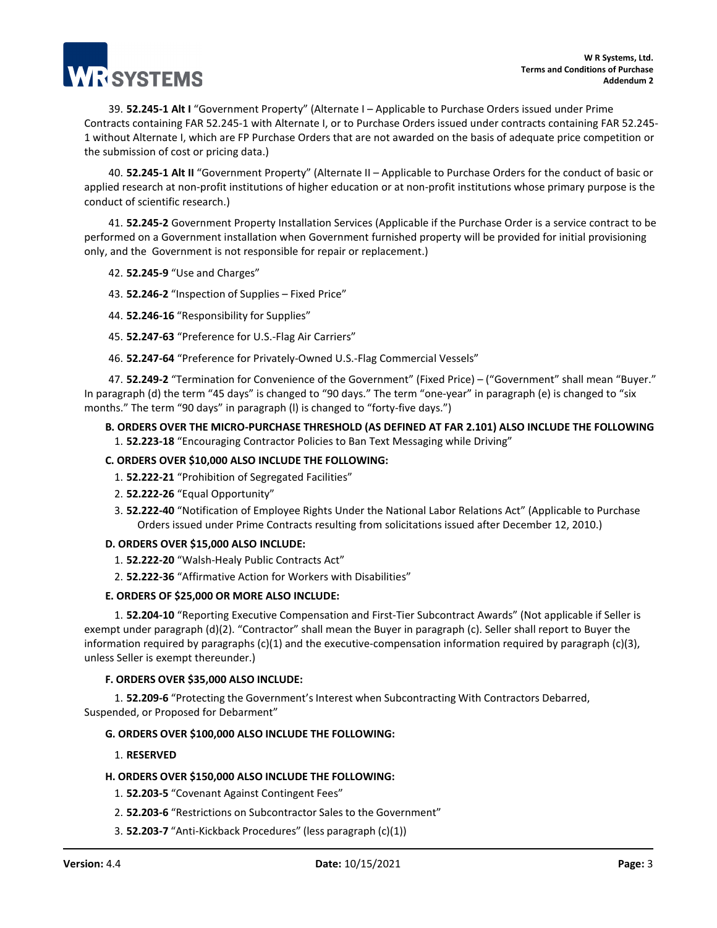

39. **52.245-1 Alt I** "Government Property" (Alternate I – Applicable to Purchase Orders issued under Prime Contracts containing FAR 52.245-1 with Alternate I, or to Purchase Orders issued under contracts containing FAR 52.245- 1 without Alternate I, which are FP Purchase Orders that are not awarded on the basis of adequate price competition or the submission of cost or pricing data.)

40. **52.245-1 Alt II** "Government Property" (Alternate II – Applicable to Purchase Orders for the conduct of basic or applied research at non-profit institutions of higher education or at non-profit institutions whose primary purpose is the conduct of scientific research.)

41. **52.245-2** Government Property Installation Services (Applicable if the Purchase Order is a service contract to be performed on a Government installation when Government furnished property will be provided for initial provisioning only, and the Government is not responsible for repair or replacement.)

#### 42. **52.245-9** "Use and Charges"

43. **52.246-2** "Inspection of Supplies – Fixed Price"

- 44. **52.246-16** "Responsibility for Supplies"
- 45. **52.247-63** "Preference for U.S.-Flag Air Carriers"
- 46. **52.247-64** "Preference for Privately-Owned U.S.-Flag Commercial Vessels"

47. **52.249-2** "Termination for Convenience of the Government" (Fixed Price) – ("Government" shall mean "Buyer." In paragraph (d) the term "45 days" is changed to "90 days." The term "one-year" in paragraph (e) is changed to "six months." The term "90 days" in paragraph (l) is changed to "forty-five days.")

#### **B. ORDERS OVER THE MICRO-PURCHASE THRESHOLD (AS DEFINED AT FAR 2.101) ALSO INCLUDE THE FOLLOWING** 1. **52.223-18** "Encouraging Contractor Policies to Ban Text Messaging while Driving"

# **C. ORDERS OVER \$10,000 ALSO INCLUDE THE FOLLOWING:**

- 1. **52.222-21** "Prohibition of Segregated Facilities"
- 2. **52.222-26** "Equal Opportunity"
- 3. **52.222-40** "Notification of Employee Rights Under the National Labor Relations Act" (Applicable to Purchase Orders issued under Prime Contracts resulting from solicitations issued after December 12, 2010.)

#### **D. ORDERS OVER \$15,000 ALSO INCLUDE:**

- 1. **52.222-20** "Walsh-Healy Public Contracts Act"
- 2. **52.222-36** "Affirmative Action for Workers with Disabilities"

#### **E. ORDERS OF \$25,000 OR MORE ALSO INCLUDE:**

1. **52.204-10** "Reporting Executive Compensation and First-Tier Subcontract Awards" (Not applicable if Seller is exempt under paragraph (d)(2). "Contractor" shall mean the Buyer in paragraph (c). Seller shall report to Buyer the information required by paragraphs (c)(1) and the executive-compensation information required by paragraph (c)(3), unless Seller is exempt thereunder.)

#### **F. ORDERS OVER \$35,000 ALSO INCLUDE:**

1. **52.209-6** "Protecting the Government's Interest when Subcontracting With Contractors Debarred, Suspended, or Proposed for Debarment"

# **G. ORDERS OVER \$100,000 ALSO INCLUDE THE FOLLOWING:**

1. **RESERVED**

#### **H. ORDERS OVER \$150,000 ALSO INCLUDE THE FOLLOWING:**

- 1. **52.203-5** "Covenant Against Contingent Fees"
- 2. **52.203-6** "Restrictions on Subcontractor Sales to the Government"
- 3. **52.203-7** "Anti-Kickback Procedures" (less paragraph (c)(1))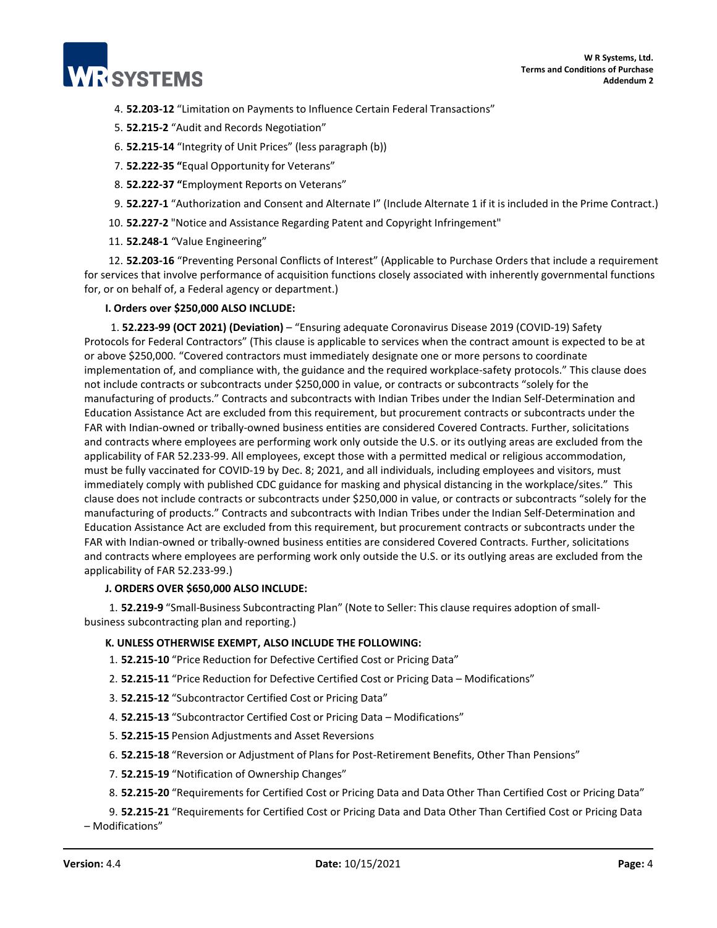

- 4. **52.203-12** "Limitation on Payments to Influence Certain Federal Transactions"
- 5. **52.215-2** "Audit and Records Negotiation"
- 6. **52.215-14** "Integrity of Unit Prices" (less paragraph (b))
- 7. **52.222-35 "**Equal Opportunity for Veterans"
- 8. **52.222-37 "**Employment Reports on Veterans"
- 9. **52.227-1** "Authorization and Consent and Alternate I" (Include Alternate 1 if it is included in the Prime Contract.)
- 10. **52.227-2** "Notice and Assistance Regarding Patent and Copyright Infringement"
- 11. **52.248-1** "Value Engineering"

12. **52.203-16** "Preventing Personal Conflicts of Interest" (Applicable to Purchase Orders that include a requirement for services that involve performance of acquisition functions closely associated with inherently governmental functions for, or on behalf of, a Federal agency or department.)

**I. Orders over \$250,000 ALSO INCLUDE:**

1. **52.223-99 (OCT 2021) (Deviation)** – "Ensuring adequate Coronavirus Disease 2019 (COVID-19) Safety Protocols for Federal Contractors" (This clause is applicable to services when the contract amount is expected to be at or above \$250,000. "Covered contractors must immediately designate one or more persons to coordinate implementation of, and compliance with, the guidance and the required workplace-safety protocols." This clause does not include contracts or subcontracts under \$250,000 in value, or contracts or subcontracts "solely for the manufacturing of products." Contracts and subcontracts with Indian Tribes under the Indian Self-Determination and Education Assistance Act are excluded from this requirement, but procurement contracts or subcontracts under the FAR with Indian-owned or tribally-owned business entities are considered Covered Contracts. Further, solicitations and contracts where employees are performing work only outside the U.S. or its outlying areas are excluded from the applicability of FAR 52.233-99. All employees, except those with a permitted medical or religious accommodation, must be fully vaccinated for COVID-19 by Dec. 8; 2021, and all individuals, including employees and visitors, must immediately comply with published CDC guidance for masking and physical distancing in the workplace/sites." This clause does not include contracts or subcontracts under \$250,000 in value, or contracts or subcontracts "solely for the manufacturing of products." Contracts and subcontracts with Indian Tribes under the Indian Self-Determination and Education Assistance Act are excluded from this requirement, but procurement contracts or subcontracts under the FAR with Indian-owned or tribally-owned business entities are considered Covered Contracts. Further, solicitations and contracts where employees are performing work only outside the U.S. or its outlying areas are excluded from the applicability of FAR 52.233-99.)

# **J. ORDERS OVER \$650,000 ALSO INCLUDE:**

1. **52.219-9** "Small-Business Subcontracting Plan" (Note to Seller: This clause requires adoption of smallbusiness subcontracting plan and reporting.)

# **K. UNLESS OTHERWISE EXEMPT, ALSO INCLUDE THE FOLLOWING:**

1. **52.215-10** "Price Reduction for Defective Certified Cost or Pricing Data"

- 2. **52.215-11** "Price Reduction for Defective Certified Cost or Pricing Data Modifications"
- 3. **52.215-12** "Subcontractor Certified Cost or Pricing Data"
- 4. **52.215-13** "Subcontractor Certified Cost or Pricing Data Modifications"
- 5. **52.215-15** Pension Adjustments and Asset Reversions
- 6. **52.215-18** "Reversion or Adjustment of Plansfor Post-Retirement Benefits, Other Than Pensions"
- 7. **52.215-19** "Notification of Ownership Changes"
- 8. **52.215-20** "Requirements for Certified Cost or Pricing Data and Data Other Than Certified Cost or Pricing Data"

9. **52.215-21** "Requirements for Certified Cost or Pricing Data and Data Other Than Certified Cost or Pricing Data – Modifications"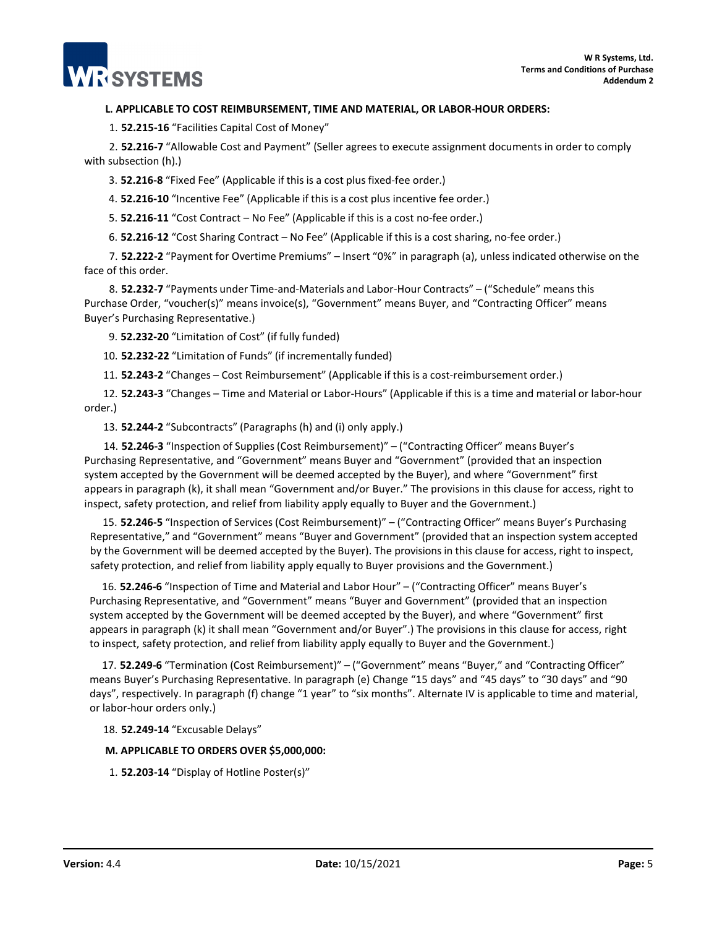# **L. APPLICABLE TO COST REIMBURSEMENT, TIME AND MATERIAL, OR LABOR-HOUR ORDERS:**

1. **52.215-16** "Facilities Capital Cost of Money"

2. **52.216-7** "Allowable Cost and Payment" (Seller agrees to execute assignment documents in order to comply with subsection (h).)

3. **52.216-8** "Fixed Fee" (Applicable if this is a cost plus fixed-fee order.)

4. **52.216-10** "Incentive Fee" (Applicable if this is a cost plus incentive fee order.)

5. **52.216-11** "Cost Contract – No Fee" (Applicable if this is a cost no-fee order.)

6. **52.216-12** "Cost Sharing Contract – No Fee" (Applicable if this is a cost sharing, no-fee order.)

7. **52.222-2** "Payment for Overtime Premiums" – Insert "0%" in paragraph (a), unless indicated otherwise on the face of this order.

8. **52.232-7** "Payments under Time-and-Materials and Labor-Hour Contracts" – ("Schedule" means this Purchase Order, "voucher(s)" means invoice(s), "Government" means Buyer, and "Contracting Officer" means Buyer's Purchasing Representative.)

9. **52.232-20** "Limitation of Cost" (if fully funded)

10. **52.232-22** "Limitation of Funds" (if incrementally funded)

11. **52.243-2** "Changes – Cost Reimbursement" (Applicable if this is a cost-reimbursement order.)

12. **52.243-3** "Changes – Time and Material or Labor-Hours" (Applicable if this is a time and material or labor-hour order.)

13. **52.244-2** "Subcontracts" (Paragraphs (h) and (i) only apply.)

14. **52.246-3** "Inspection of Supplies (Cost Reimbursement)" – ("Contracting Officer" means Buyer's Purchasing Representative, and "Government" means Buyer and "Government" (provided that an inspection system accepted by the Government will be deemed accepted by the Buyer), and where "Government" first appears in paragraph (k), it shall mean "Government and/or Buyer." The provisions in this clause for access, right to inspect, safety protection, and relief from liability apply equally to Buyer and the Government.)

15. **52.246-5** "Inspection of Services (Cost Reimbursement)" – ("Contracting Officer" means Buyer's Purchasing Representative," and "Government" means "Buyer and Government" (provided that an inspection system accepted by the Government will be deemed accepted by the Buyer). The provisions in this clause for access, right to inspect, safety protection, and relief from liability apply equally to Buyer provisions and the Government.)

16. **52.246-6** "Inspection of Time and Material and Labor Hour" – ("Contracting Officer" means Buyer's Purchasing Representative, and "Government" means "Buyer and Government" (provided that an inspection system accepted by the Government will be deemed accepted by the Buyer), and where "Government" first appears in paragraph (k) it shall mean "Government and/or Buyer".) The provisions in this clause for access, right to inspect, safety protection, and relief from liability apply equally to Buyer and the Government.)

17. **52.249-6** "Termination (Cost Reimbursement)" – ("Government" means "Buyer," and "Contracting Officer" means Buyer's Purchasing Representative. In paragraph (e) Change "15 days" and "45 days" to "30 days" and "90 days", respectively. In paragraph (f) change "1 year" to "six months". Alternate IV is applicable to time and material, or labor-hour orders only.)

#### 18. **52.249-14** "Excusable Delays"

# **M. APPLICABLE TO ORDERS OVER \$5,000,000:**

1. **52.203-14** "Display of Hotline Poster(s)"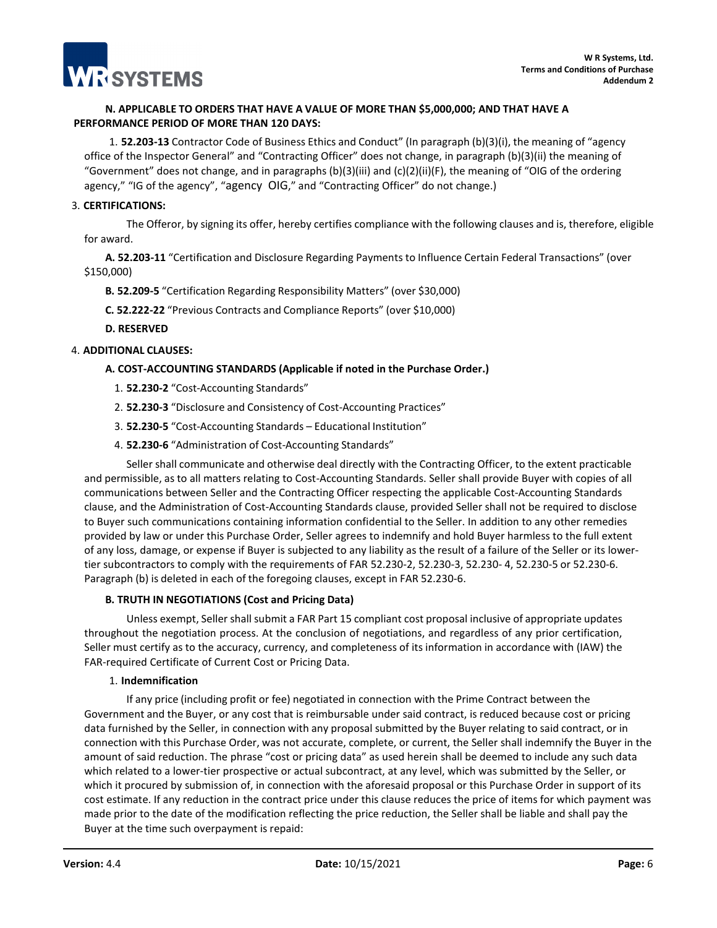

# **N. APPLICABLE TO ORDERS THAT HAVE A VALUE OF MORE THAN \$5,000,000; AND THAT HAVE A PERFORMANCE PERIOD OF MORE THAN 120 DAYS:**

1. **52.203-13** Contractor Code of Business Ethics and Conduct" (In paragraph (b)(3)(i), the meaning of "agency office of the Inspector General" and "Contracting Officer" does not change, in paragraph (b)(3)(ii) the meaning of "Government" does not change, and in paragraphs  $(b)(3)(iii)$  and  $(c)(2)(ii)(F)$ , the meaning of "OIG of the ordering agency," "IG of the agency", "agency OIG," and "Contracting Officer" do not change.)

# 3. **CERTIFICATIONS:**

The Offeror, by signing its offer, hereby certifies compliance with the following clauses and is, therefore, eligible for award.

**A. 52.203-11** "Certification and Disclosure Regarding Payments to Influence Certain Federal Transactions" (over \$150,000)

**B. 52.209-5** "Certification Regarding Responsibility Matters" (over \$30,000)

**C. 52.222-22** "Previous Contracts and Compliance Reports" (over \$10,000)

**D. RESERVED**

# 4. **ADDITIONAL CLAUSES:**

# **A. COST-ACCOUNTING STANDARDS (Applicable if noted in the Purchase Order.)**

- 1. **52.230-2** "Cost-Accounting Standards"
- 2. **52.230-3** "Disclosure and Consistency of Cost-Accounting Practices"
- 3. **52.230-5** "Cost-Accounting Standards Educational Institution"
- 4. **52.230-6** "Administration of Cost-Accounting Standards"

Seller shall communicate and otherwise deal directly with the Contracting Officer, to the extent practicable and permissible, as to all matters relating to Cost-Accounting Standards. Seller shall provide Buyer with copies of all communications between Seller and the Contracting Officer respecting the applicable Cost-Accounting Standards clause, and the Administration of Cost-Accounting Standards clause, provided Seller shall not be required to disclose to Buyer such communications containing information confidential to the Seller. In addition to any other remedies provided by law or under this Purchase Order, Seller agrees to indemnify and hold Buyer harmless to the full extent of any loss, damage, or expense if Buyer is subjected to any liability as the result of a failure of the Seller or its lowertier subcontractors to comply with the requirements of FAR 52.230-2, 52.230-3, 52.230- 4, 52.230-5 or 52.230-6. Paragraph (b) is deleted in each of the foregoing clauses, except in FAR 52.230-6.

#### **B. TRUTH IN NEGOTIATIONS (Cost and Pricing Data)**

Unless exempt, Seller shall submit a FAR Part 15 compliant cost proposal inclusive of appropriate updates throughout the negotiation process. At the conclusion of negotiations, and regardless of any prior certification, Seller must certify as to the accuracy, currency, and completeness of its information in accordance with (IAW) the FAR-required Certificate of Current Cost or Pricing Data.

#### 1. **Indemnification**

If any price (including profit or fee) negotiated in connection with the Prime Contract between the Government and the Buyer, or any cost that is reimbursable under said contract, is reduced because cost or pricing data furnished by the Seller, in connection with any proposal submitted by the Buyer relating to said contract, or in connection with this Purchase Order, was not accurate, complete, or current, the Seller shall indemnify the Buyer in the amount of said reduction. The phrase "cost or pricing data" as used herein shall be deemed to include any such data which related to a lower-tier prospective or actual subcontract, at any level, which was submitted by the Seller, or which it procured by submission of, in connection with the aforesaid proposal or this Purchase Order in support of its cost estimate. If any reduction in the contract price under this clause reduces the price of items for which payment was made prior to the date of the modification reflecting the price reduction, the Seller shall be liable and shall pay the Buyer at the time such overpayment is repaid: